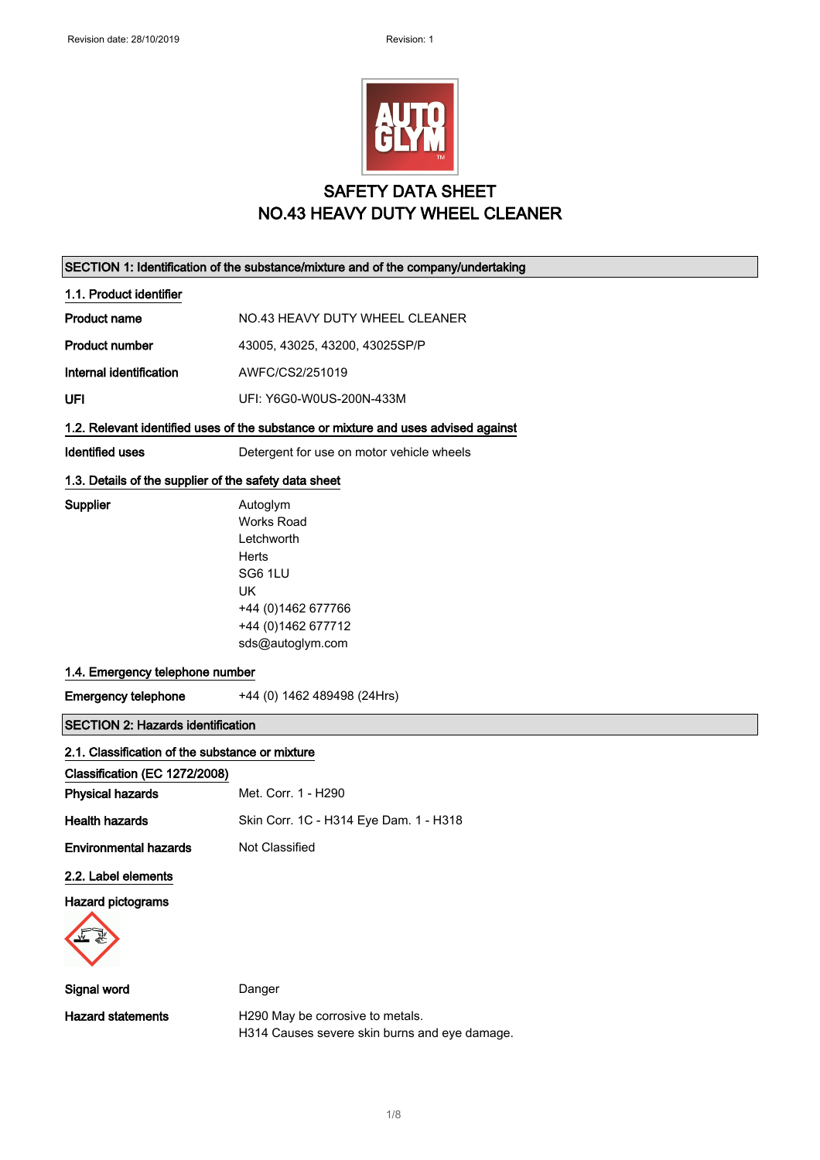

## SAFETY DATA SHEET NO.43 HEAVY DUTY WHEEL CLEANER

| SECTION 1: Identification of the substance/mixture and of the company/undertaking |                                                                                                                                                |
|-----------------------------------------------------------------------------------|------------------------------------------------------------------------------------------------------------------------------------------------|
| 1.1. Product identifier                                                           |                                                                                                                                                |
| <b>Product name</b>                                                               | NO.43 HEAVY DUTY WHEEL CLEANER                                                                                                                 |
| <b>Product number</b>                                                             | 43005, 43025, 43200, 43025SP/P                                                                                                                 |
| Internal identification                                                           | AWFC/CS2/251019                                                                                                                                |
| UFI                                                                               | UFI: Y6G0-W0US-200N-433M                                                                                                                       |
|                                                                                   | 1.2. Relevant identified uses of the substance or mixture and uses advised against                                                             |
| <b>Identified uses</b>                                                            | Detergent for use on motor vehicle wheels                                                                                                      |
| 1.3. Details of the supplier of the safety data sheet                             |                                                                                                                                                |
| Supplier                                                                          | Autoglym<br><b>Works Road</b><br>Letchworth<br>Herts<br>SG6 1LU<br><b>UK</b><br>+44 (0) 1462 677766<br>+44 (0) 1462 677712<br>sds@autoglym.com |
| 1.4. Emergency telephone number                                                   |                                                                                                                                                |
| <b>Emergency telephone</b>                                                        | +44 (0) 1462 489498 (24Hrs)                                                                                                                    |
| <b>SECTION 2: Hazards identification</b>                                          |                                                                                                                                                |
| 2.1. Classification of the substance or mixture                                   |                                                                                                                                                |
| Classification (EC 1272/2008)                                                     |                                                                                                                                                |
| <b>Physical hazards</b>                                                           | Met. Corr. 1 - H290                                                                                                                            |
| <b>Health hazards</b>                                                             | Skin Corr. 1C - H314 Eye Dam. 1 - H318                                                                                                         |
| <b>Environmental hazards</b>                                                      | Not Classified                                                                                                                                 |
| 2.2. Label elements                                                               |                                                                                                                                                |
| Hazard pictograms                                                                 |                                                                                                                                                |
| Signal word                                                                       | Danger                                                                                                                                         |
| <b>Hazard statements</b>                                                          | H290 May be corrosive to metals.<br>H314 Causes severe skin burns and eye damage.                                                              |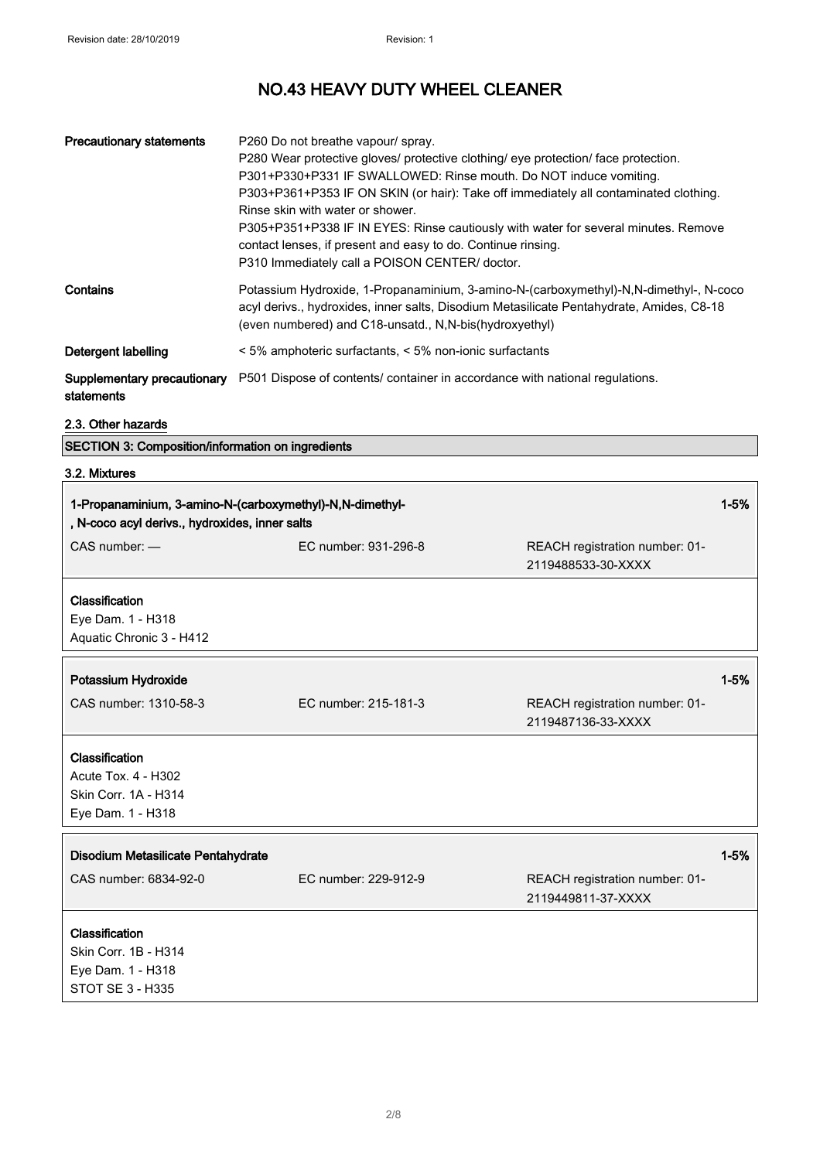| <b>Precautionary statements</b>           | P260 Do not breathe vapour/ spray.<br>P280 Wear protective gloves/ protective clothing/ eye protection/ face protection.<br>P301+P330+P331 IF SWALLOWED: Rinse mouth. Do NOT induce vomiting.<br>P303+P361+P353 IF ON SKIN (or hair): Take off immediately all contaminated clothing.<br>Rinse skin with water or shower.<br>P305+P351+P338 IF IN EYES: Rinse cautiously with water for several minutes. Remove<br>contact lenses, if present and easy to do. Continue rinsing.<br>P310 Immediately call a POISON CENTER/ doctor. |
|-------------------------------------------|-----------------------------------------------------------------------------------------------------------------------------------------------------------------------------------------------------------------------------------------------------------------------------------------------------------------------------------------------------------------------------------------------------------------------------------------------------------------------------------------------------------------------------------|
| Contains                                  | Potassium Hydroxide, 1-Propanaminium, 3-amino-N-(carboxymethyl)-N,N-dimethyl-, N-coco<br>acyl derivs., hydroxides, inner salts, Disodium Metasilicate Pentahydrate, Amides, C8-18<br>(even numbered) and C18-unsatd., N, N-bis (hydroxyethyl)                                                                                                                                                                                                                                                                                     |
| Detergent labelling                       | < 5% amphoteric surfactants, < 5% non-ionic surfactants                                                                                                                                                                                                                                                                                                                                                                                                                                                                           |
| Supplementary precautionary<br>statements | P501 Dispose of contents/ container in accordance with national regulations.                                                                                                                                                                                                                                                                                                                                                                                                                                                      |

# 2.3. Other hazards

SECTION 3: Composition/information on ingredients

| 1-Propanaminium, 3-amino-N-(carboxymethyl)-N,N-dimethyl-<br>, N-coco acyl derivs., hydroxides, inner salts |                      | $1 - 5%$                                             |          |
|------------------------------------------------------------------------------------------------------------|----------------------|------------------------------------------------------|----------|
| $CAS$ number: $-$                                                                                          | EC number: 931-296-8 | REACH registration number: 01-<br>2119488533-30-XXXX |          |
| Classification<br>Eye Dam. 1 - H318<br>Aquatic Chronic 3 - H412                                            |                      |                                                      |          |
| Potassium Hydroxide                                                                                        |                      |                                                      | $1 - 5%$ |
| CAS number: 1310-58-3                                                                                      | EC number: 215-181-3 | REACH registration number: 01-<br>2119487136-33-XXXX |          |
| Classification<br>Acute Tox. 4 - H302<br>Skin Corr. 1A - H314<br>Eye Dam. 1 - H318                         |                      |                                                      |          |
| Disodium Metasilicate Pentahydrate                                                                         |                      |                                                      | $1 - 5%$ |
| CAS number: 6834-92-0                                                                                      | EC number: 229-912-9 | REACH registration number: 01-<br>2119449811-37-XXXX |          |
| Classification<br>Skin Corr. 1B - H314<br>Eye Dam. 1 - H318<br><b>STOT SE 3 - H335</b>                     |                      |                                                      |          |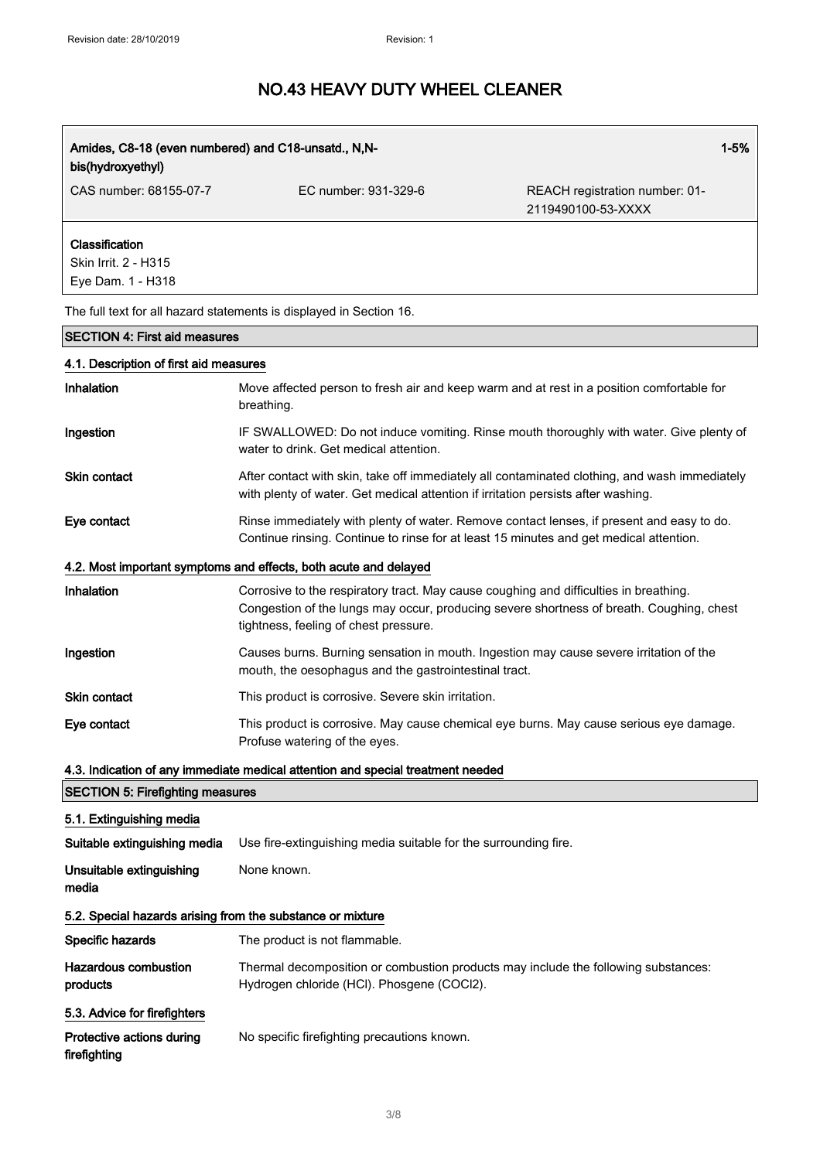| $1 - 5%$<br>Amides, C8-18 (even numbered) and C18-unsatd., N,N-<br>bis(hydroxyethyl) |                                                                                                                                                                                                                            |                                                      |
|--------------------------------------------------------------------------------------|----------------------------------------------------------------------------------------------------------------------------------------------------------------------------------------------------------------------------|------------------------------------------------------|
| CAS number: 68155-07-7                                                               | EC number: 931-329-6                                                                                                                                                                                                       | REACH registration number: 01-<br>2119490100-53-XXXX |
| Classification<br>Skin Irrit. 2 - H315<br>Eye Dam. 1 - H318                          |                                                                                                                                                                                                                            |                                                      |
|                                                                                      | The full text for all hazard statements is displayed in Section 16.                                                                                                                                                        |                                                      |
| <b>SECTION 4: First aid measures</b>                                                 |                                                                                                                                                                                                                            |                                                      |
| 4.1. Description of first aid measures                                               |                                                                                                                                                                                                                            |                                                      |
| Inhalation                                                                           | Move affected person to fresh air and keep warm and at rest in a position comfortable for<br>breathing.                                                                                                                    |                                                      |
| Ingestion                                                                            | IF SWALLOWED: Do not induce vomiting. Rinse mouth thoroughly with water. Give plenty of<br>water to drink. Get medical attention.                                                                                          |                                                      |
| <b>Skin contact</b>                                                                  | After contact with skin, take off immediately all contaminated clothing, and wash immediately<br>with plenty of water. Get medical attention if irritation persists after washing.                                         |                                                      |
| Eye contact                                                                          | Rinse immediately with plenty of water. Remove contact lenses, if present and easy to do.<br>Continue rinsing. Continue to rinse for at least 15 minutes and get medical attention.                                        |                                                      |
|                                                                                      | 4.2. Most important symptoms and effects, both acute and delayed                                                                                                                                                           |                                                      |
| <b>Inhalation</b>                                                                    | Corrosive to the respiratory tract. May cause coughing and difficulties in breathing.<br>Congestion of the lungs may occur, producing severe shortness of breath. Coughing, chest<br>tightness, feeling of chest pressure. |                                                      |
| Ingestion                                                                            | Causes burns. Burning sensation in mouth. Ingestion may cause severe irritation of the<br>mouth, the oesophagus and the gastrointestinal tract.                                                                            |                                                      |
| <b>Skin contact</b>                                                                  | This product is corrosive. Severe skin irritation.                                                                                                                                                                         |                                                      |
| Eye contact                                                                          | This product is corrosive. May cause chemical eye burns. May cause serious eye damage.<br>Profuse watering of the eyes.                                                                                                    |                                                      |
|                                                                                      | 4.3. Indication of any immediate medical attention and special treatment needed                                                                                                                                            |                                                      |
| <b>SECTION 5: Firefighting measures</b>                                              |                                                                                                                                                                                                                            |                                                      |
| 5.1. Extinguishing media                                                             |                                                                                                                                                                                                                            |                                                      |
| Suitable extinguishing media                                                         | Use fire-extinguishing media suitable for the surrounding fire.                                                                                                                                                            |                                                      |
| Unsuitable extinguishing<br>media                                                    | None known.                                                                                                                                                                                                                |                                                      |
| 5.2. Special hazards arising from the substance or mixture                           |                                                                                                                                                                                                                            |                                                      |
| Specific hazards                                                                     | The product is not flammable.                                                                                                                                                                                              |                                                      |
| <b>Hazardous combustion</b><br>products                                              | Thermal decomposition or combustion products may include the following substances:<br>Hydrogen chloride (HCI). Phosgene (COCI2).                                                                                           |                                                      |
| 5.3. Advice for firefighters                                                         |                                                                                                                                                                                                                            |                                                      |
| Protective actions during<br>firefighting                                            | No specific firefighting precautions known.                                                                                                                                                                                |                                                      |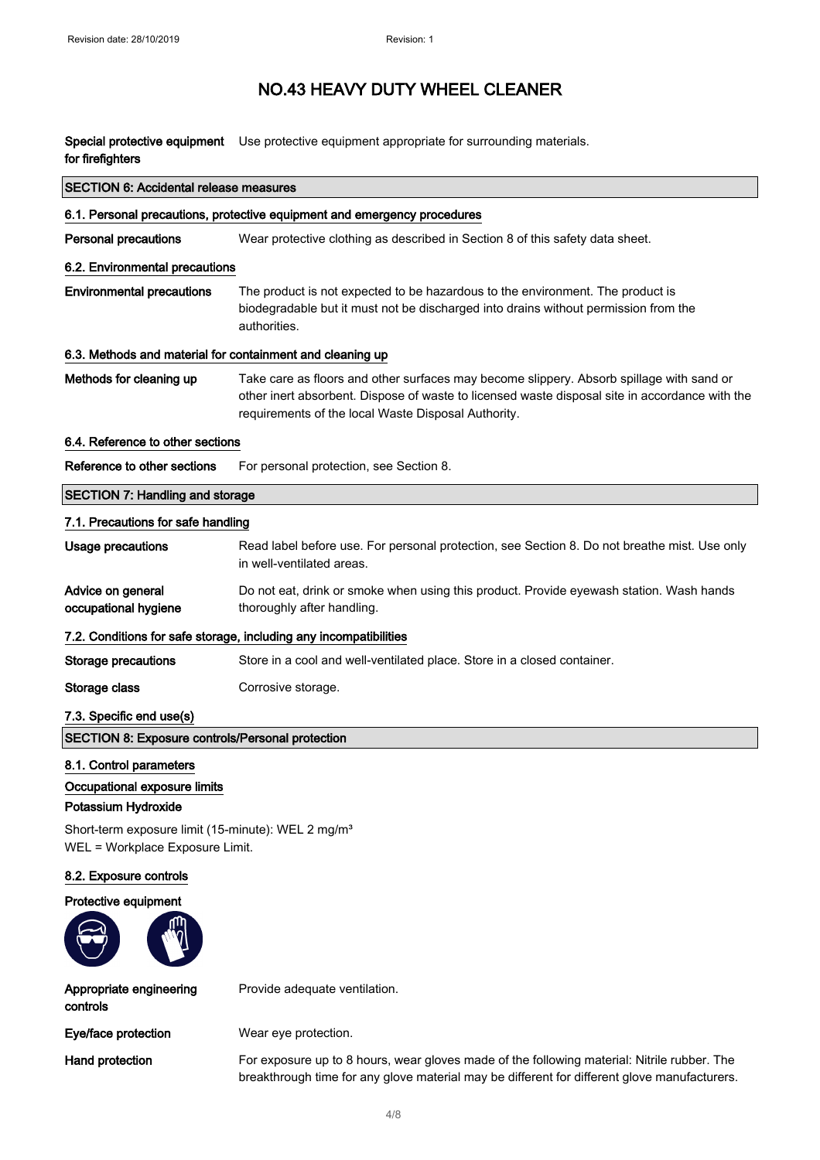Special protective equipment Use protective equipment appropriate for surrounding materials. for firefighters

| <b>SECTION 6: Accidental release measures</b>                                                                                                                                       |                                                                                                                                                                                                                                                   |  |
|-------------------------------------------------------------------------------------------------------------------------------------------------------------------------------------|---------------------------------------------------------------------------------------------------------------------------------------------------------------------------------------------------------------------------------------------------|--|
|                                                                                                                                                                                     | 6.1. Personal precautions, protective equipment and emergency procedures                                                                                                                                                                          |  |
| <b>Personal precautions</b>                                                                                                                                                         | Wear protective clothing as described in Section 8 of this safety data sheet.                                                                                                                                                                     |  |
| 6.2. Environmental precautions                                                                                                                                                      |                                                                                                                                                                                                                                                   |  |
| <b>Environmental precautions</b>                                                                                                                                                    | The product is not expected to be hazardous to the environment. The product is<br>biodegradable but it must not be discharged into drains without permission from the<br>authorities.                                                             |  |
|                                                                                                                                                                                     | 6.3. Methods and material for containment and cleaning up                                                                                                                                                                                         |  |
| Methods for cleaning up                                                                                                                                                             | Take care as floors and other surfaces may become slippery. Absorb spillage with sand or<br>other inert absorbent. Dispose of waste to licensed waste disposal site in accordance with the<br>requirements of the local Waste Disposal Authority. |  |
| 6.4. Reference to other sections                                                                                                                                                    |                                                                                                                                                                                                                                                   |  |
| Reference to other sections                                                                                                                                                         | For personal protection, see Section 8.                                                                                                                                                                                                           |  |
| <b>SECTION 7: Handling and storage</b>                                                                                                                                              |                                                                                                                                                                                                                                                   |  |
| 7.1. Precautions for safe handling                                                                                                                                                  |                                                                                                                                                                                                                                                   |  |
| <b>Usage precautions</b>                                                                                                                                                            | Read label before use. For personal protection, see Section 8. Do not breathe mist. Use only<br>in well-ventilated areas.                                                                                                                         |  |
| Advice on general<br>occupational hygiene                                                                                                                                           | Do not eat, drink or smoke when using this product. Provide eyewash station. Wash hands<br>thoroughly after handling.                                                                                                                             |  |
|                                                                                                                                                                                     | 7.2. Conditions for safe storage, including any incompatibilities                                                                                                                                                                                 |  |
| <b>Storage precautions</b>                                                                                                                                                          | Store in a cool and well-ventilated place. Store in a closed container.                                                                                                                                                                           |  |
| Storage class                                                                                                                                                                       | Corrosive storage.                                                                                                                                                                                                                                |  |
| 7.3. Specific end use(s)                                                                                                                                                            |                                                                                                                                                                                                                                                   |  |
| <b>SECTION 8: Exposure controls/Personal protection</b>                                                                                                                             |                                                                                                                                                                                                                                                   |  |
| 8.1. Control parameters<br>Occupational exposure limits<br>Potassium Hydroxide<br>Short-term exposure limit (15-minute): WEL 2 mg/m <sup>3</sup><br>WEL = Workplace Exposure Limit. |                                                                                                                                                                                                                                                   |  |
| 8.2. Exposure controls                                                                                                                                                              |                                                                                                                                                                                                                                                   |  |
| Protective equipment                                                                                                                                                                |                                                                                                                                                                                                                                                   |  |
| Appropriate engineering<br>controls                                                                                                                                                 | Provide adequate ventilation.                                                                                                                                                                                                                     |  |
| Eye/face protection                                                                                                                                                                 | Wear eye protection.                                                                                                                                                                                                                              |  |
| Hand protection                                                                                                                                                                     | For exposure up to 8 hours, wear gloves made of the following material: Nitrile rubber. The<br>breakthrough time for any glove material may be different for different glove manufacturers.                                                       |  |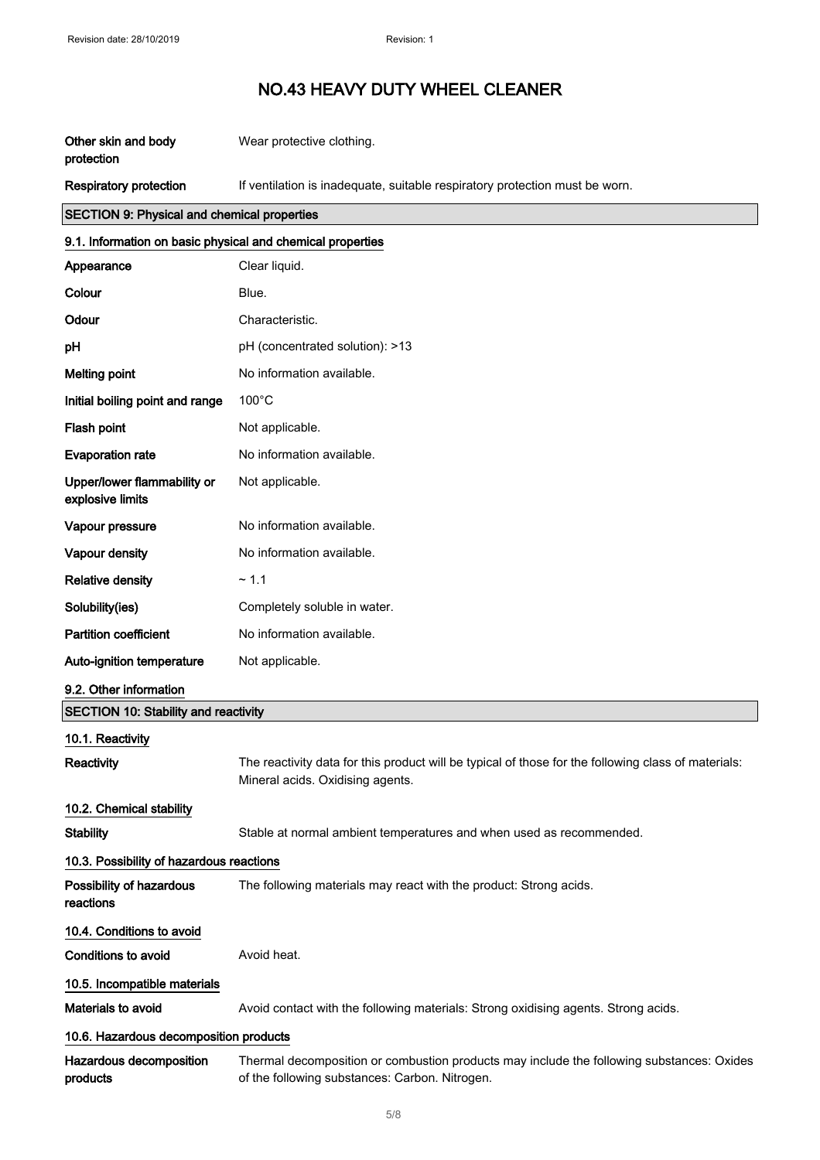| Other skin and body<br>protection                          | Wear protective clothing.                                                                                                                   |  |
|------------------------------------------------------------|---------------------------------------------------------------------------------------------------------------------------------------------|--|
| <b>Respiratory protection</b>                              | If ventilation is inadequate, suitable respiratory protection must be worn.                                                                 |  |
| <b>SECTION 9: Physical and chemical properties</b>         |                                                                                                                                             |  |
| 9.1. Information on basic physical and chemical properties |                                                                                                                                             |  |
| Appearance                                                 | Clear liquid.                                                                                                                               |  |
| Colour                                                     | Blue.                                                                                                                                       |  |
| Odour                                                      | Characteristic.                                                                                                                             |  |
| pH                                                         | pH (concentrated solution): >13                                                                                                             |  |
| <b>Melting point</b>                                       | No information available.                                                                                                                   |  |
| Initial boiling point and range                            | $100^{\circ}$ C                                                                                                                             |  |
| Flash point                                                | Not applicable.                                                                                                                             |  |
| <b>Evaporation rate</b>                                    | No information available.                                                                                                                   |  |
| Upper/lower flammability or<br>explosive limits            | Not applicable.                                                                                                                             |  |
| Vapour pressure                                            | No information available.                                                                                                                   |  |
| Vapour density                                             | No information available.                                                                                                                   |  |
| <b>Relative density</b>                                    | ~1.1                                                                                                                                        |  |
| Solubility(ies)                                            | Completely soluble in water.                                                                                                                |  |
| <b>Partition coefficient</b>                               | No information available.                                                                                                                   |  |
| Auto-ignition temperature                                  | Not applicable.                                                                                                                             |  |
| 9.2. Other information                                     |                                                                                                                                             |  |
| <b>SECTION 10: Stability and reactivity</b>                |                                                                                                                                             |  |
| 10.1. Reactivity                                           |                                                                                                                                             |  |
| Reactivity                                                 | The reactivity data for this product will be typical of those for the following class of materials:<br>Mineral acids. Oxidising agents.     |  |
| 10.2. Chemical stability                                   |                                                                                                                                             |  |
| <b>Stability</b>                                           | Stable at normal ambient temperatures and when used as recommended.                                                                         |  |
| 10.3. Possibility of hazardous reactions                   |                                                                                                                                             |  |
| Possibility of hazardous<br>reactions                      | The following materials may react with the product: Strong acids.                                                                           |  |
| 10.4. Conditions to avoid                                  |                                                                                                                                             |  |
| Conditions to avoid                                        | Avoid heat.                                                                                                                                 |  |
| 10.5. Incompatible materials                               |                                                                                                                                             |  |
| Materials to avoid                                         | Avoid contact with the following materials: Strong oxidising agents. Strong acids.                                                          |  |
| 10.6. Hazardous decomposition products                     |                                                                                                                                             |  |
| Hazardous decomposition<br>products                        | Thermal decomposition or combustion products may include the following substances: Oxides<br>of the following substances: Carbon. Nitrogen. |  |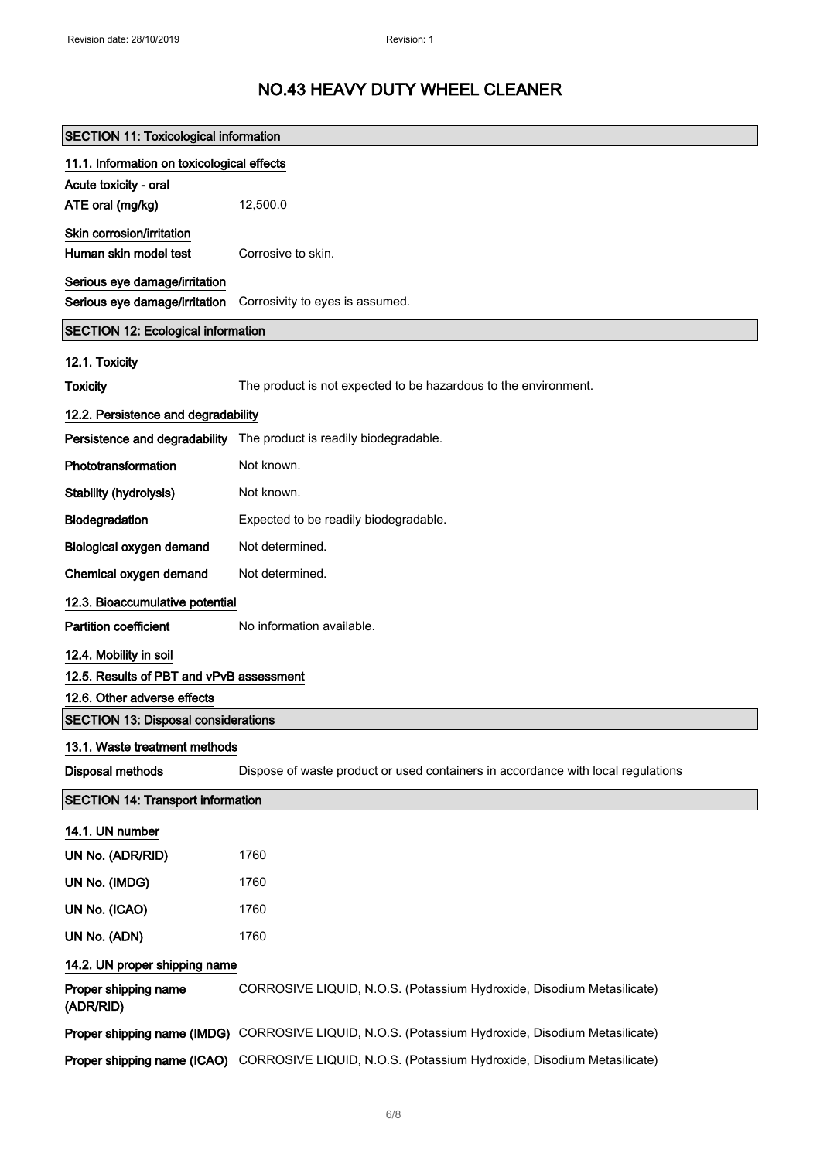| <b>SECTION 11: Toxicological information</b> |                                                                                                   |  |
|----------------------------------------------|---------------------------------------------------------------------------------------------------|--|
| 11.1. Information on toxicological effects   |                                                                                                   |  |
| Acute toxicity - oral                        |                                                                                                   |  |
| ATE oral (mg/kg)                             | 12,500.0                                                                                          |  |
| Skin corrosion/irritation                    |                                                                                                   |  |
| Human skin model test                        | Corrosive to skin.                                                                                |  |
| Serious eye damage/irritation                |                                                                                                   |  |
| Serious eye damage/irritation                | Corrosivity to eyes is assumed.                                                                   |  |
| <b>SECTION 12: Ecological information</b>    |                                                                                                   |  |
| 12.1. Toxicity                               |                                                                                                   |  |
| <b>Toxicity</b>                              | The product is not expected to be hazardous to the environment.                                   |  |
| 12.2. Persistence and degradability          |                                                                                                   |  |
|                                              | Persistence and degradability The product is readily biodegradable.                               |  |
| Phototransformation                          | Not known.                                                                                        |  |
| Stability (hydrolysis)                       | Not known.                                                                                        |  |
| Biodegradation                               | Expected to be readily biodegradable.                                                             |  |
| Biological oxygen demand                     | Not determined.                                                                                   |  |
| Chemical oxygen demand                       | Not determined.                                                                                   |  |
| 12.3. Bioaccumulative potential              |                                                                                                   |  |
| <b>Partition coefficient</b>                 | No information available.                                                                         |  |
| 12.4. Mobility in soil                       |                                                                                                   |  |
| 12.5. Results of PBT and vPvB assessment     |                                                                                                   |  |
| 12.6. Other adverse effects                  |                                                                                                   |  |
| <b>SECTION 13: Disposal considerations</b>   |                                                                                                   |  |
| 13.1. Waste treatment methods                |                                                                                                   |  |
| <b>Disposal methods</b>                      | Dispose of waste product or used containers in accordance with local regulations                  |  |
| <b>SECTION 14: Transport information</b>     |                                                                                                   |  |
| 14.1. UN number                              |                                                                                                   |  |
| UN No. (ADR/RID)                             | 1760                                                                                              |  |
| UN No. (IMDG)                                | 1760                                                                                              |  |
| UN No. (ICAO)                                | 1760                                                                                              |  |
| UN No. (ADN)                                 | 1760                                                                                              |  |
| 14.2. UN proper shipping name                |                                                                                                   |  |
| Proper shipping name<br>(ADR/RID)            | CORROSIVE LIQUID, N.O.S. (Potassium Hydroxide, Disodium Metasilicate)                             |  |
|                                              | Proper shipping name (IMDG) CORROSIVE LIQUID, N.O.S. (Potassium Hydroxide, Disodium Metasilicate) |  |
|                                              | Proper shipping name (ICAO) CORROSIVE LIQUID, N.O.S. (Potassium Hydroxide, Disodium Metasilicate) |  |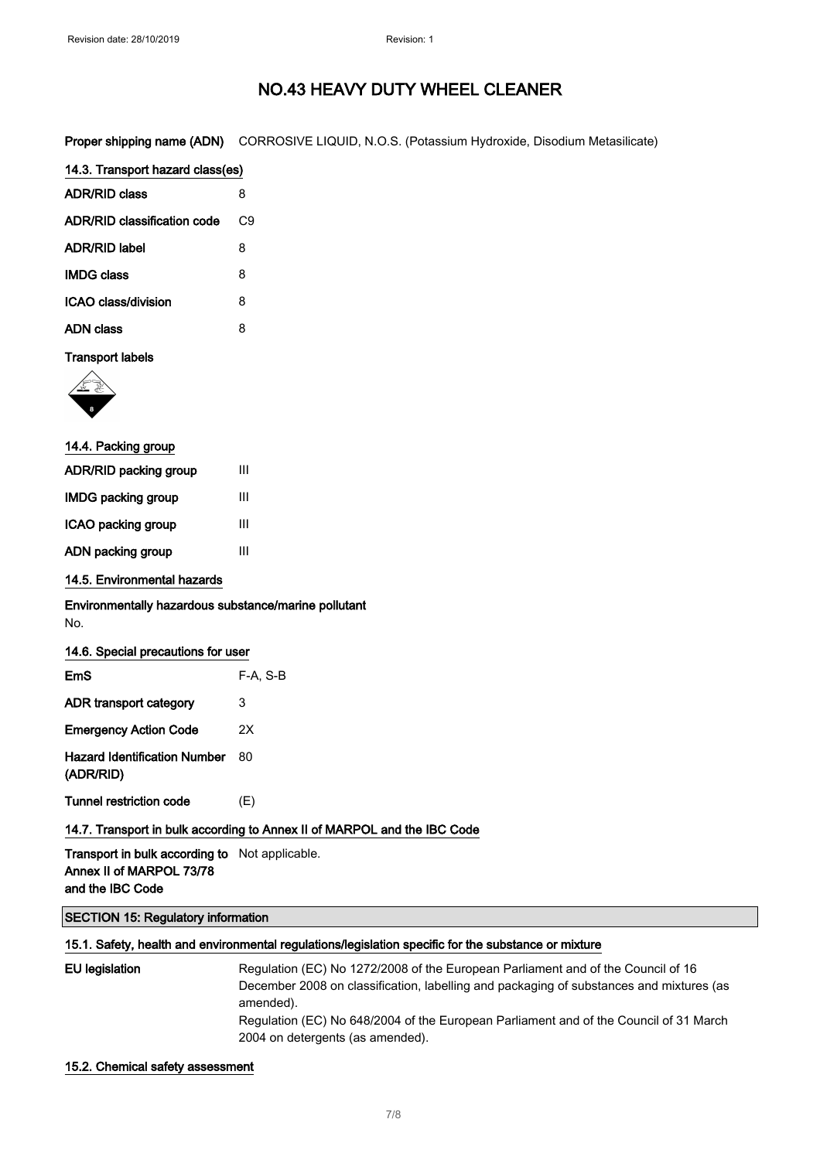Proper shipping name (ADN) CORROSIVE LIQUID, N.O.S. (Potassium Hydroxide, Disodium Metasilicate)

| 14.3. Transport hazard class(es) |    |
|----------------------------------|----|
| <b>ADR/RID class</b>             | 8  |
| ADR/RID classification code      | С9 |
| ADR/RID label                    | 8  |
| <b>IMDG class</b>                | 8  |
| ICAO class/division              | 8  |
| ADN class                        | 8  |
|                                  |    |

### Transport labels



| 14.4. Packing group   |   |  |
|-----------------------|---|--|
| ADR/RID packing group | Ш |  |
| IMDG packing group    | Ш |  |
| ICAO packing group    | Ш |  |
| ADN packing group     | Ш |  |
|                       |   |  |

### 14.5. Environmental hazards

### Environmentally hazardous substance/marine pollutant No.

| 14.6. Special precautions for user               |          |
|--------------------------------------------------|----------|
| EmS                                              | F-A. S-B |
| ADR transport category                           | 3        |
| <b>Emergency Action Code</b>                     | 2X       |
| <b>Hazard Identification Number</b><br>(ADR/RID) | 80       |
| Tunnel restriction code                          | (E)      |

### 14.7. Transport in bulk according to Annex II of MARPOL and the IBC Code

Transport in bulk according to Not applicable. Annex II of MARPOL 73/78 and the IBC Code

### SECTION 15: Regulatory information

### 15.1. Safety, health and environmental regulations/legislation specific for the substance or mixture

| EU legislation | Regulation (EC) No 1272/2008 of the European Parliament and of the Council of 16        |
|----------------|-----------------------------------------------------------------------------------------|
|                | December 2008 on classification, labelling and packaging of substances and mixtures (as |
|                | amended).                                                                               |
|                | Regulation (EC) No 648/2004 of the European Parliament and of the Council of 31 March   |
|                | 2004 on detergents (as amended).                                                        |

#### 15.2. Chemical safety assessment